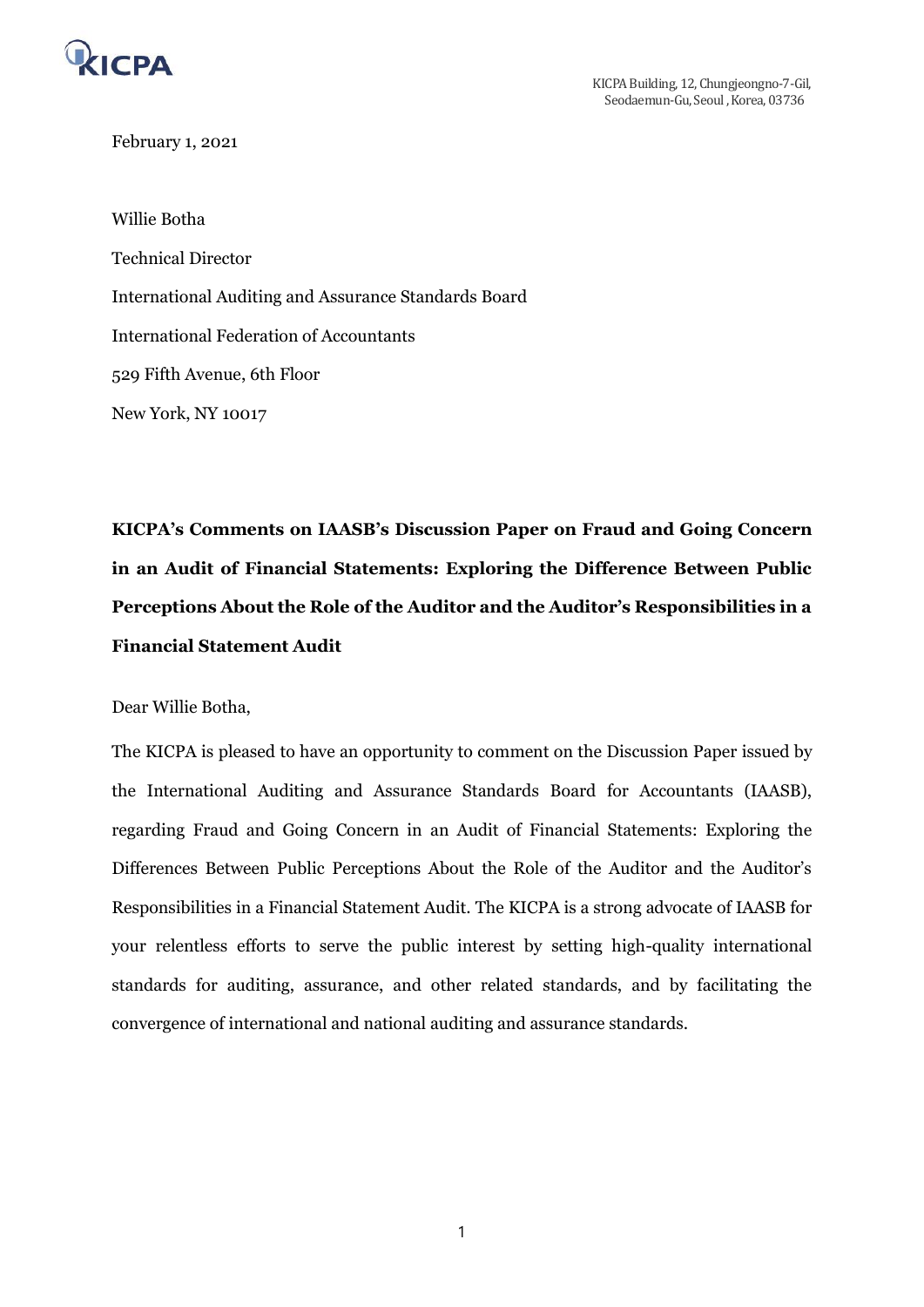

February 1, 2021

Willie Botha Technical Director International Auditing and Assurance Standards Board International Federation of Accountants 529 Fifth Avenue, 6th Floor New York, NY 10017

**KICPA's Comments on IAASB's Discussion Paper on Fraud and Going Concern in an Audit of Financial Statements: Exploring the Difference Between Public Perceptions About the Role of the Auditor and the Auditor's Responsibilities in a Financial Statement Audit** 

Dear Willie Botha,

The KICPA is pleased to have an opportunity to comment on the Discussion Paper issued by the International Auditing and Assurance Standards Board for Accountants (IAASB), regarding Fraud and Going Concern in an Audit of Financial Statements: Exploring the Differences Between Public Perceptions About the Role of the Auditor and the Auditor's Responsibilities in a Financial Statement Audit. The KICPA is a strong advocate of IAASB for your relentless efforts to serve the public interest by setting high-quality international standards for auditing, assurance, and other related standards, and by facilitating the convergence of international and national auditing and assurance standards.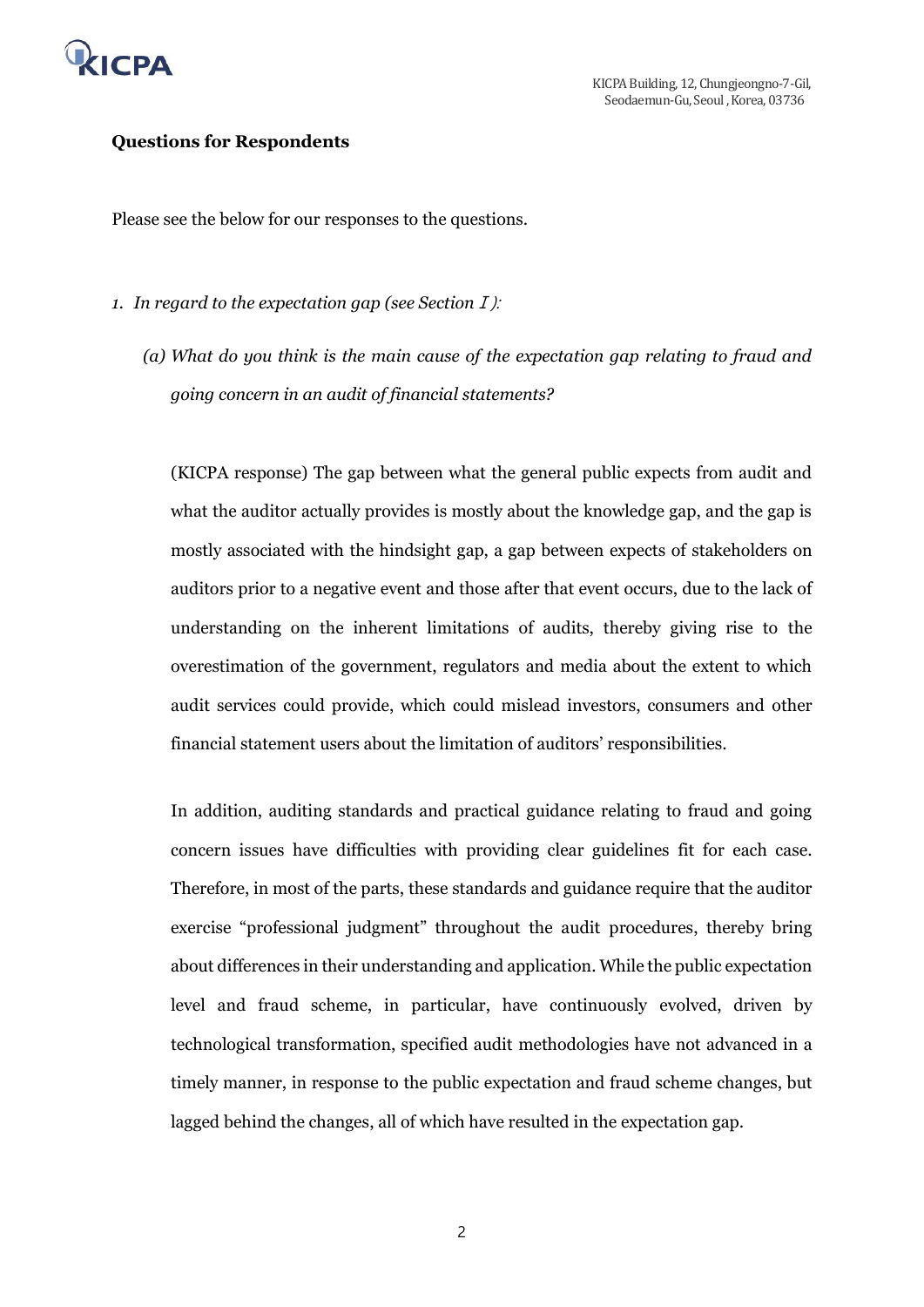

### **Questions for Respondents**

Please see the below for our responses to the questions.

- *1. In regard to the expectation gap (see Section*Ⅰ):
	- *(a) What do you think is the main cause of the expectation gap relating to fraud and going concern in an audit of financial statements?*

(KICPA response) The gap between what the general public expects from audit and what the auditor actually provides is mostly about the knowledge gap, and the gap is mostly associated with the hindsight gap, a gap between expects of stakeholders on auditors prior to a negative event and those after that event occurs, due to the lack of understanding on the inherent limitations of audits, thereby giving rise to the overestimation of the government, regulators and media about the extent to which audit services could provide, which could mislead investors, consumers and other financial statement users about the limitation of auditors' responsibilities.

In addition, auditing standards and practical guidance relating to fraud and going concern issues have difficulties with providing clear guidelines fit for each case. Therefore, in most of the parts, these standards and guidance require that the auditor exercise "professional judgment" throughout the audit procedures, thereby bring about differences in their understanding and application. While the public expectation level and fraud scheme, in particular, have continuously evolved, driven by technological transformation, specified audit methodologies have not advanced in a timely manner, in response to the public expectation and fraud scheme changes, but lagged behind the changes, all of which have resulted in the expectation gap.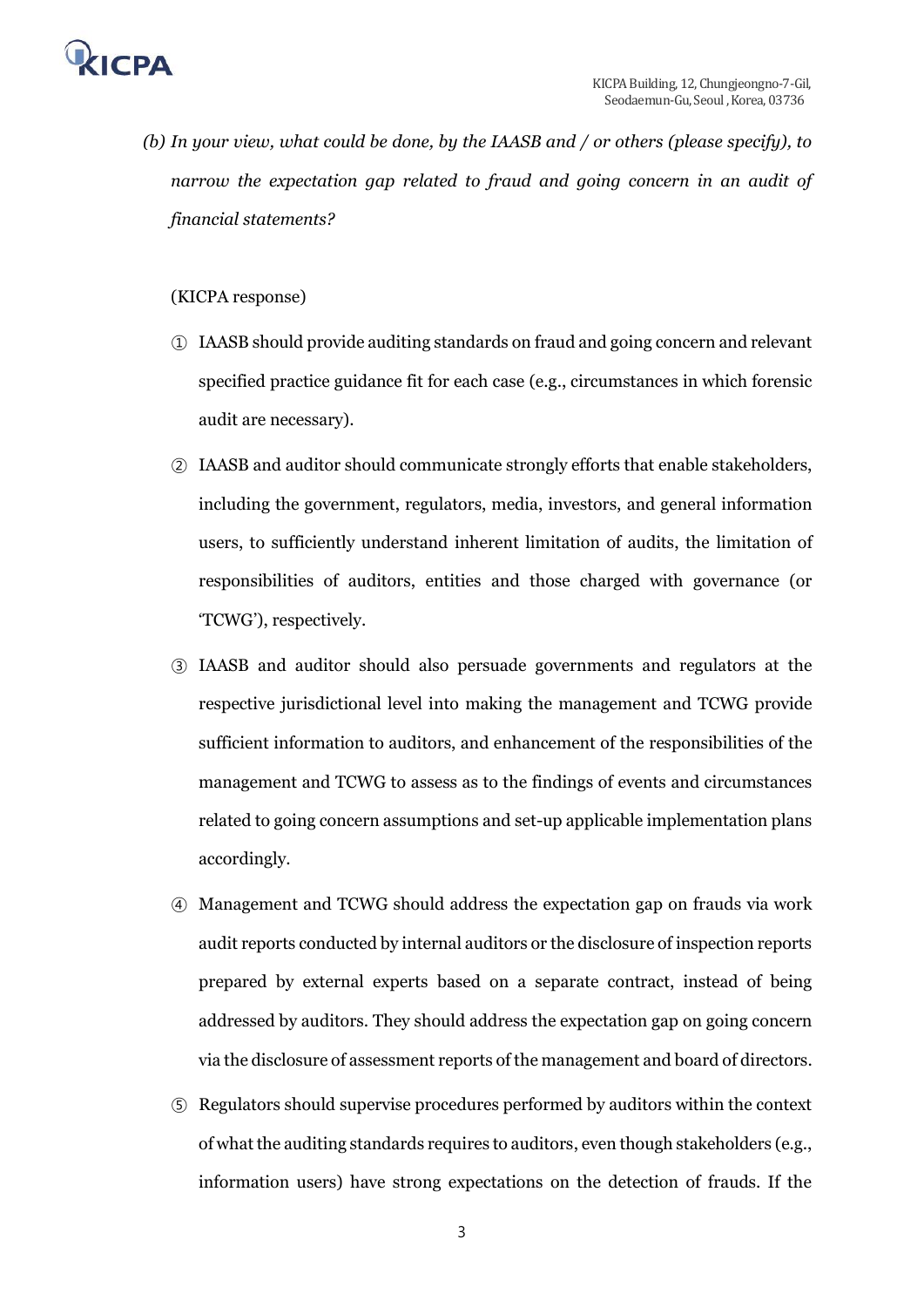

*(b) In your view, what could be done, by the IAASB and / or others (please specify), to narrow the expectation gap related to fraud and going concern in an audit of financial statements?* 

### (KICPA response)

- ① IAASB should provide auditing standards on fraud and going concern and relevant specified practice guidance fit for each case (e.g., circumstances in which forensic audit are necessary).
- ② IAASB and auditor should communicate strongly efforts that enable stakeholders, including the government, regulators, media, investors, and general information users, to sufficiently understand inherent limitation of audits, the limitation of responsibilities of auditors, entities and those charged with governance (or 'TCWG'), respectively.
- ③ IAASB and auditor should also persuade governments and regulators at the respective jurisdictional level into making the management and TCWG provide sufficient information to auditors, and enhancement of the responsibilities of the management and TCWG to assess as to the findings of events and circumstances related to going concern assumptions and set-up applicable implementation plans accordingly.
- ④ Management and TCWG should address the expectation gap on frauds via work audit reports conducted by internal auditors or the disclosure of inspection reports prepared by external experts based on a separate contract, instead of being addressed by auditors. They should address the expectation gap on going concern via the disclosure of assessment reports of the management and board of directors.
- ⑤ Regulators should supervise procedures performed by auditors within the context of what the auditing standards requires to auditors, even though stakeholders (e.g., information users) have strong expectations on the detection of frauds. If the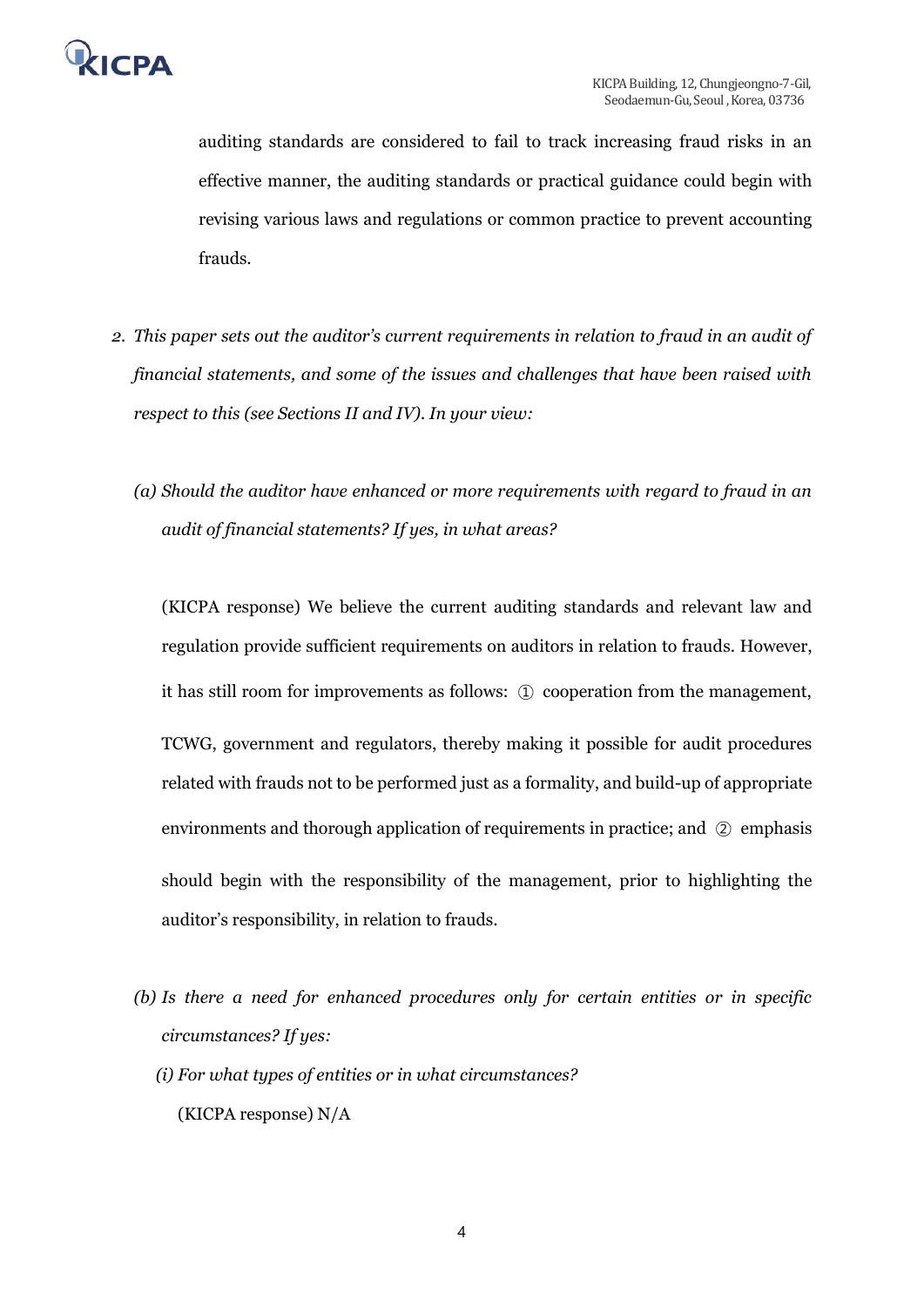

auditing standards are considered to fail to track increasing fraud risks in an effective manner, the auditing standards or practical guidance could begin with revising various laws and regulations or common practice to prevent accounting frauds.

- *2. This paper sets out the auditor's current requirements in relation to fraud in an audit of financial statements, and some of the issues and challenges that have been raised with respect to this (see Sections II and IV). In your view:* 
	- *(a) Should the auditor have enhanced or more requirements with regard to fraud in an audit of financial statements? If yes, in what areas?*

(KICPA response) We believe the current auditing standards and relevant law and regulation provide sufficient requirements on auditors in relation to frauds. However, it has still room for improvements as follows: ① cooperation from the management, TCWG, government and regulators, thereby making it possible for audit procedures related with frauds not to be performed just as a formality, and build-up of appropriate environments and thorough application of requirements in practice; and ② emphasis should begin with the responsibility of the management, prior to highlighting the auditor's responsibility, in relation to frauds.

- *(b) Is there a need for enhanced procedures only for certain entities or in specific circumstances? If yes:* 
	- *(i) For what types of entities or in what circumstances?* (KICPA response) N/A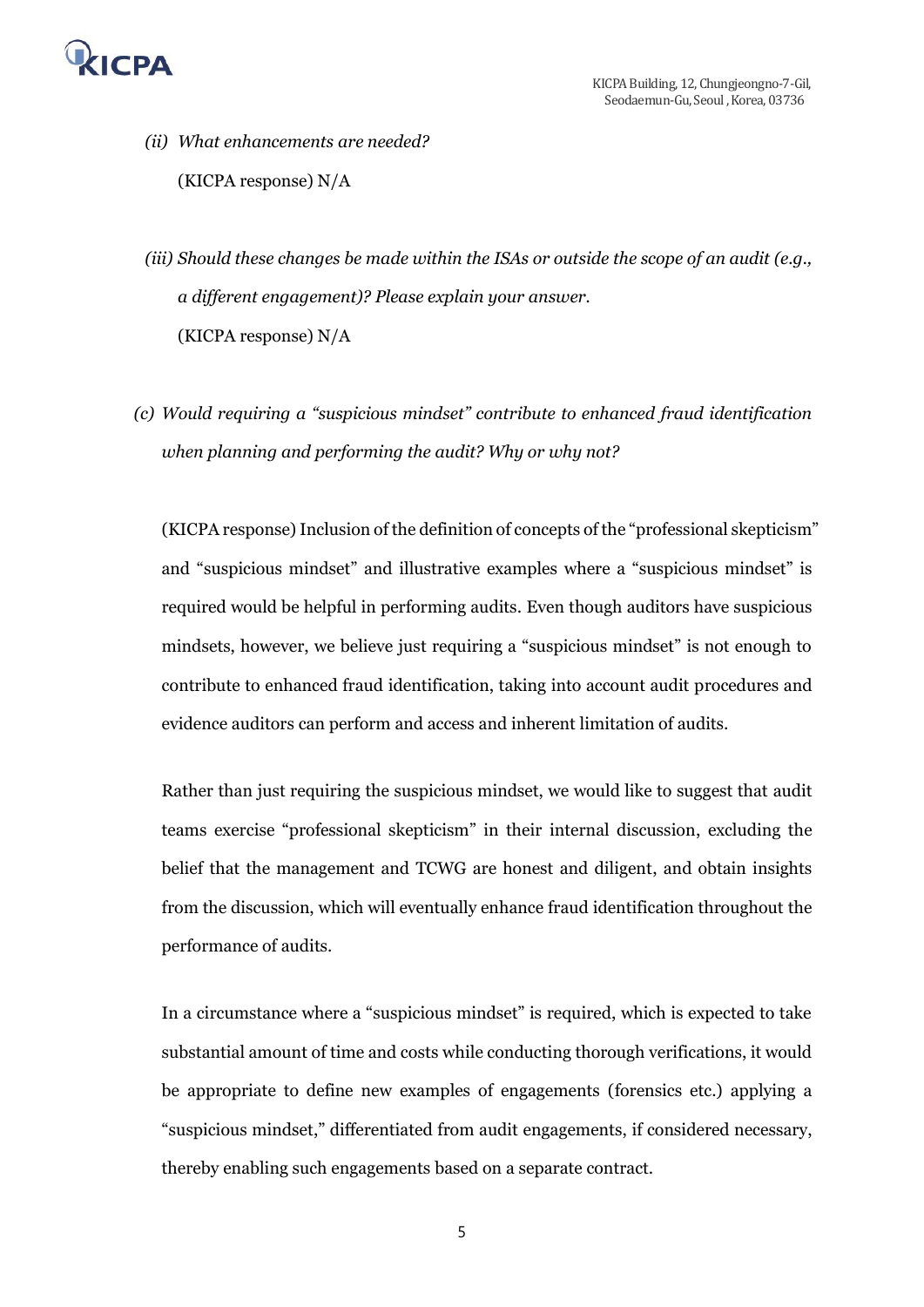

*(ii) What enhancements are needed?* (KICPA response) N/A

*(iii) Should these changes be made within the ISAs or outside the scope of an audit (e.g., a different engagement)? Please explain your answer.* (KICPA response) N/A

*(c) Would requiring a "suspicious mindset" contribute to enhanced fraud identification when planning and performing the audit? Why or why not?* 

(KICPA response) Inclusion of the definition of concepts of the "professional skepticism" and "suspicious mindset" and illustrative examples where a "suspicious mindset" is required would be helpful in performing audits. Even though auditors have suspicious mindsets, however, we believe just requiring a "suspicious mindset" is not enough to contribute to enhanced fraud identification, taking into account audit procedures and evidence auditors can perform and access and inherent limitation of audits.

Rather than just requiring the suspicious mindset, we would like to suggest that audit teams exercise "professional skepticism" in their internal discussion, excluding the belief that the management and TCWG are honest and diligent, and obtain insights from the discussion, which will eventually enhance fraud identification throughout the performance of audits.

In a circumstance where a "suspicious mindset" is required, which is expected to take substantial amount of time and costs while conducting thorough verifications, it would be appropriate to define new examples of engagements (forensics etc.) applying a "suspicious mindset," differentiated from audit engagements, if considered necessary, thereby enabling such engagements based on a separate contract.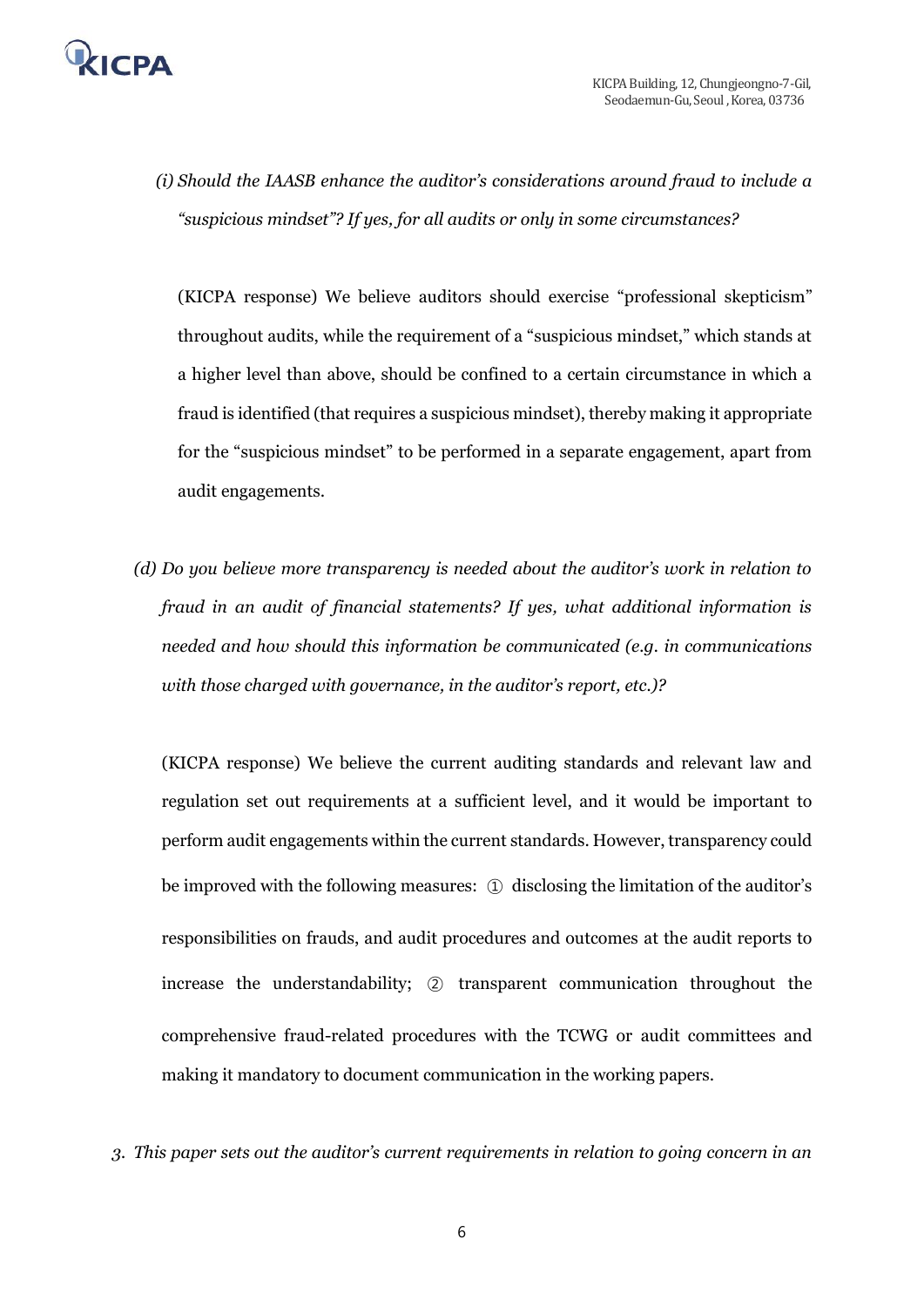

*(i) Should the IAASB enhance the auditor's considerations around fraud to include a "suspicious mindset"? If yes, for all audits or only in some circumstances?*

(KICPA response) We believe auditors should exercise "professional skepticism" throughout audits, while the requirement of a "suspicious mindset," which stands at a higher level than above, should be confined to a certain circumstance in which a fraud is identified (that requires a suspicious mindset), thereby making it appropriate for the "suspicious mindset" to be performed in a separate engagement, apart from audit engagements.

*(d) Do you believe more transparency is needed about the auditor's work in relation to fraud in an audit of financial statements? If yes, what additional information is needed and how should this information be communicated (e.g. in communications with those charged with governance, in the auditor's report, etc.)?*

(KICPA response) We believe the current auditing standards and relevant law and regulation set out requirements at a sufficient level, and it would be important to perform audit engagements within the current standards. However, transparency could be improved with the following measures: ① disclosing the limitation of the auditor's responsibilities on frauds, and audit procedures and outcomes at the audit reports to increase the understandability; ② transparent communication throughout the comprehensive fraud-related procedures with the TCWG or audit committees and making it mandatory to document communication in the working papers.

*3. This paper sets out the auditor's current requirements in relation to going concern in an*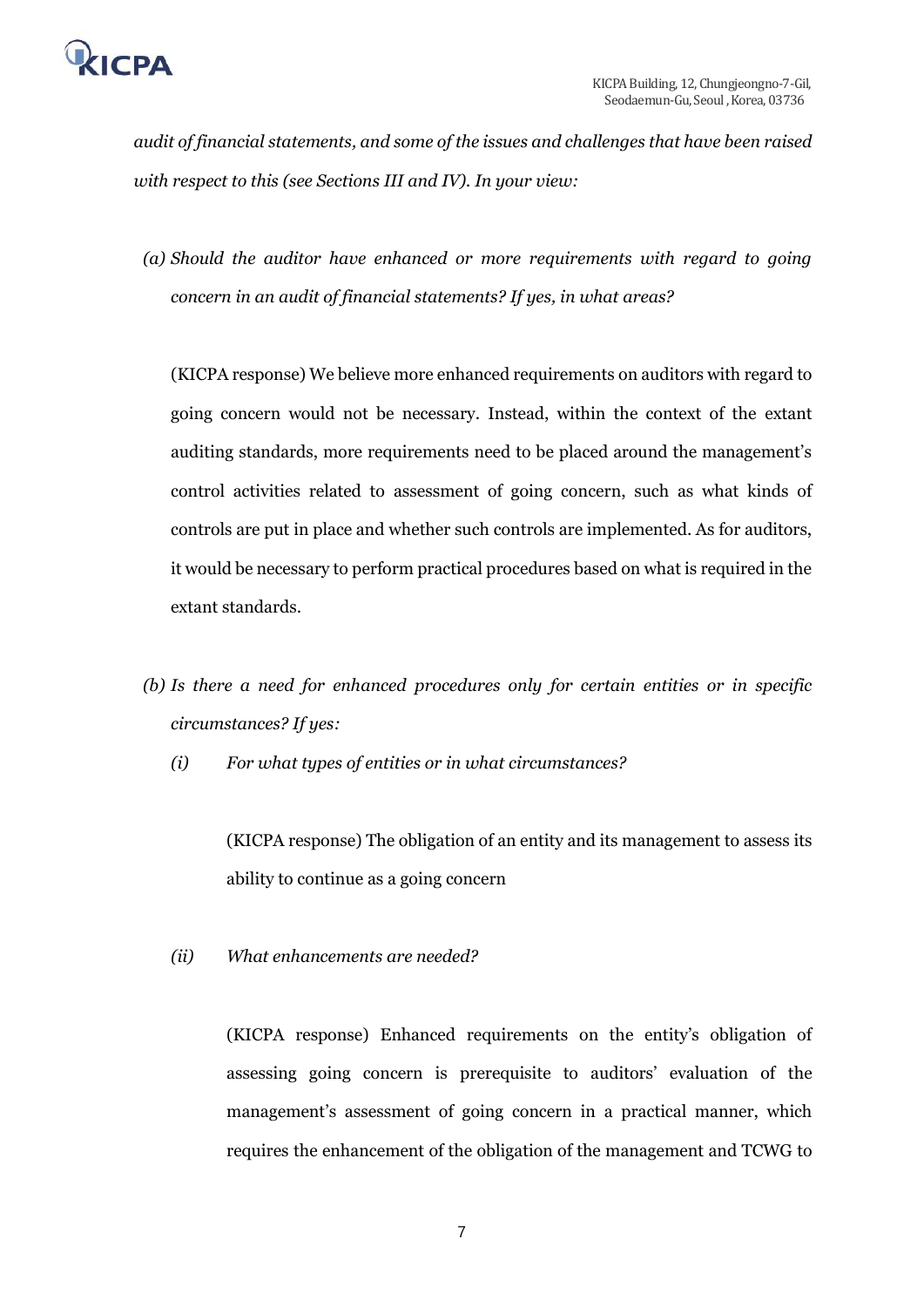

*audit of financial statements, and some of the issues and challenges that have been raised with respect to this (see Sections III and IV). In your view:*

*(a) Should the auditor have enhanced or more requirements with regard to going concern in an audit of financial statements? If yes, in what areas?*

(KICPA response) We believe more enhanced requirements on auditors with regard to going concern would not be necessary. Instead, within the context of the extant auditing standards, more requirements need to be placed around the management's control activities related to assessment of going concern, such as what kinds of controls are put in place and whether such controls are implemented. As for auditors, it would be necessary to perform practical procedures based on what is required in the extant standards.

- *(b) Is there a need for enhanced procedures only for certain entities or in specific circumstances? If yes:* 
	- *(i) For what types of entities or in what circumstances?*

(KICPA response) The obligation of an entity and its management to assess its ability to continue as a going concern

*(ii) What enhancements are needed?*

(KICPA response) Enhanced requirements on the entity's obligation of assessing going concern is prerequisite to auditors' evaluation of the management's assessment of going concern in a practical manner, which requires the enhancement of the obligation of the management and TCWG to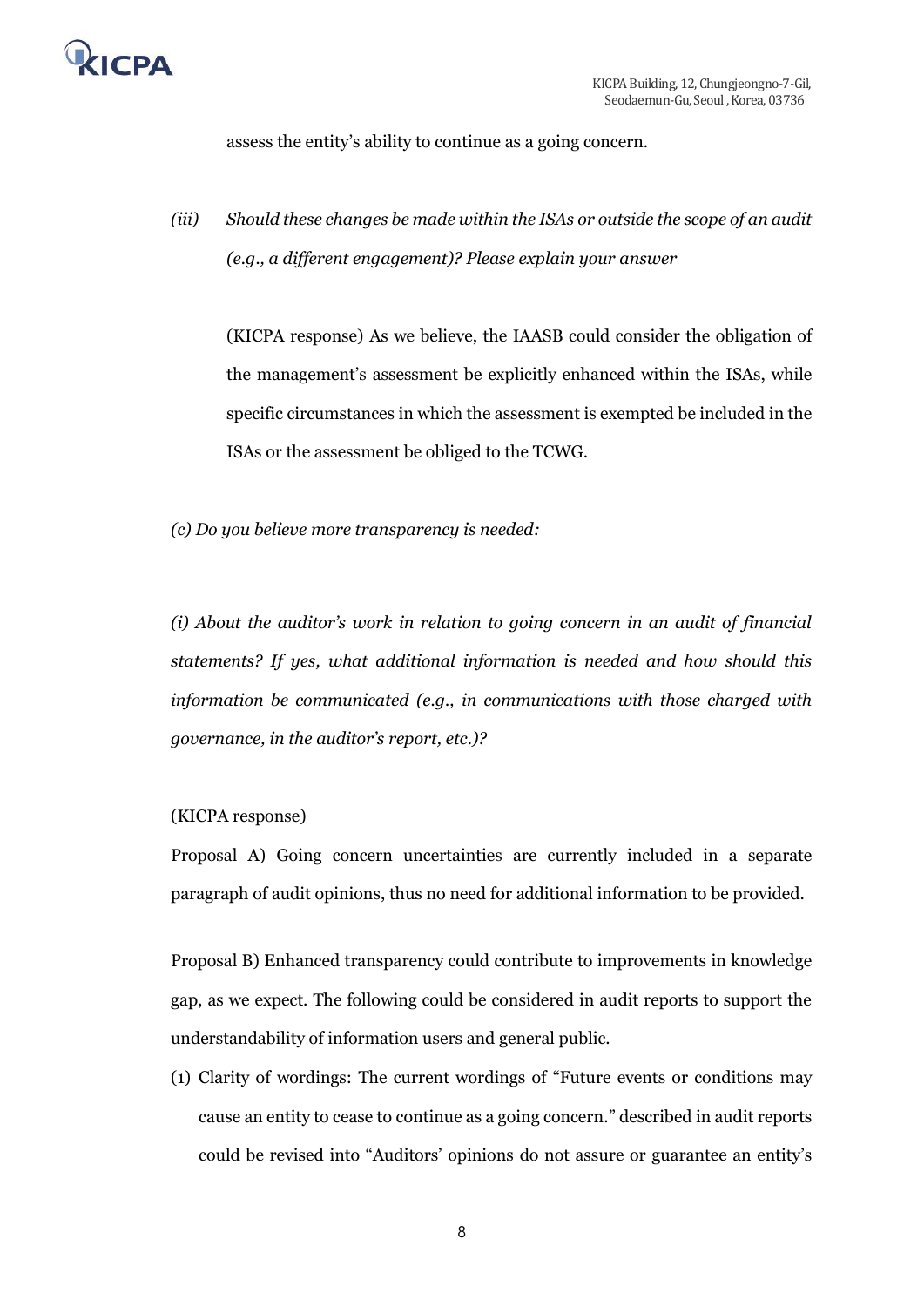

assess the entity's ability to continue as a going concern.

*(iii) Should these changes be made within the ISAs or outside the scope of an audit (e.g., a different engagement)? Please explain your answer*

(KICPA response) As we believe, the IAASB could consider the obligation of the management's assessment be explicitly enhanced within the ISAs, while specific circumstances in which the assessment is exempted be included in the ISAs or the assessment be obliged to the TCWG.

*(c) Do you believe more transparency is needed:*

*(i) About the auditor's work in relation to going concern in an audit of financial statements? If yes, what additional information is needed and how should this information be communicated (e.g., in communications with those charged with governance, in the auditor's report, etc.)?* 

#### (KICPA response)

Proposal A) Going concern uncertainties are currently included in a separate paragraph of audit opinions, thus no need for additional information to be provided.

Proposal B) Enhanced transparency could contribute to improvements in knowledge gap, as we expect. The following could be considered in audit reports to support the understandability of information users and general public.

(1) Clarity of wordings: The current wordings of "Future events or conditions may cause an entity to cease to continue as a going concern." described in audit reports could be revised into "Auditors' opinions do not assure or guarantee an entity's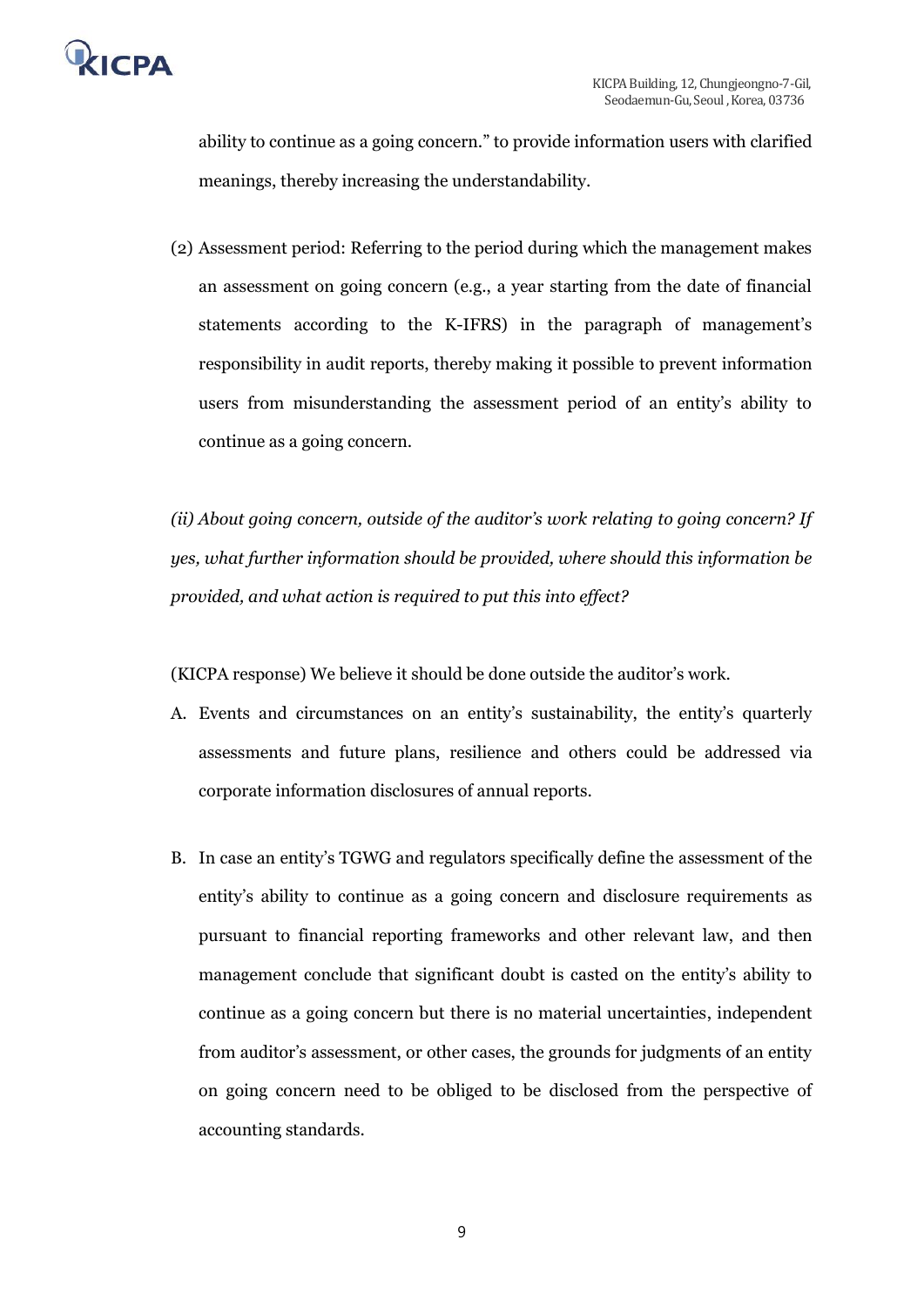

ability to continue as a going concern." to provide information users with clarified meanings, thereby increasing the understandability.

(2) Assessment period: Referring to the period during which the management makes an assessment on going concern (e.g., a year starting from the date of financial statements according to the K-IFRS) in the paragraph of management's responsibility in audit reports, thereby making it possible to prevent information users from misunderstanding the assessment period of an entity's ability to continue as a going concern.

*(ii) About going concern, outside of the auditor's work relating to going concern? If yes, what further information should be provided, where should this information be provided, and what action is required to put this into effect?*

(KICPA response) We believe it should be done outside the auditor's work.

- A. Events and circumstances on an entity's sustainability, the entity's quarterly assessments and future plans, resilience and others could be addressed via corporate information disclosures of annual reports.
- B. In case an entity's TGWG and regulators specifically define the assessment of the entity's ability to continue as a going concern and disclosure requirements as pursuant to financial reporting frameworks and other relevant law, and then management conclude that significant doubt is casted on the entity's ability to continue as a going concern but there is no material uncertainties, independent from auditor's assessment, or other cases, the grounds for judgments of an entity on going concern need to be obliged to be disclosed from the perspective of accounting standards.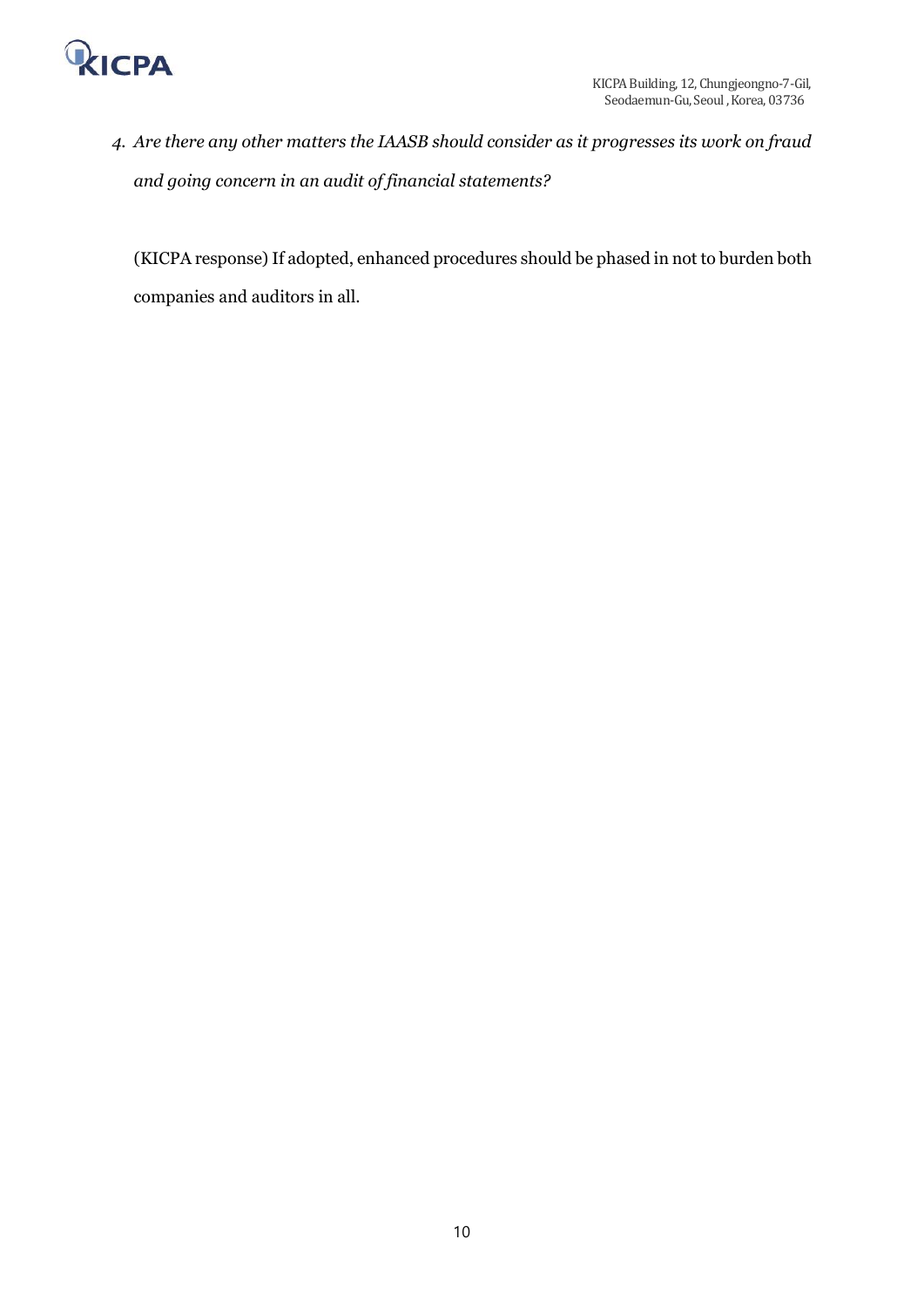

*4. Are there any other matters the IAASB should consider as it progresses its work on fraud and going concern in an audit of financial statements?*

(KICPA response) If adopted, enhanced procedures should be phased in not to burden both companies and auditors in all.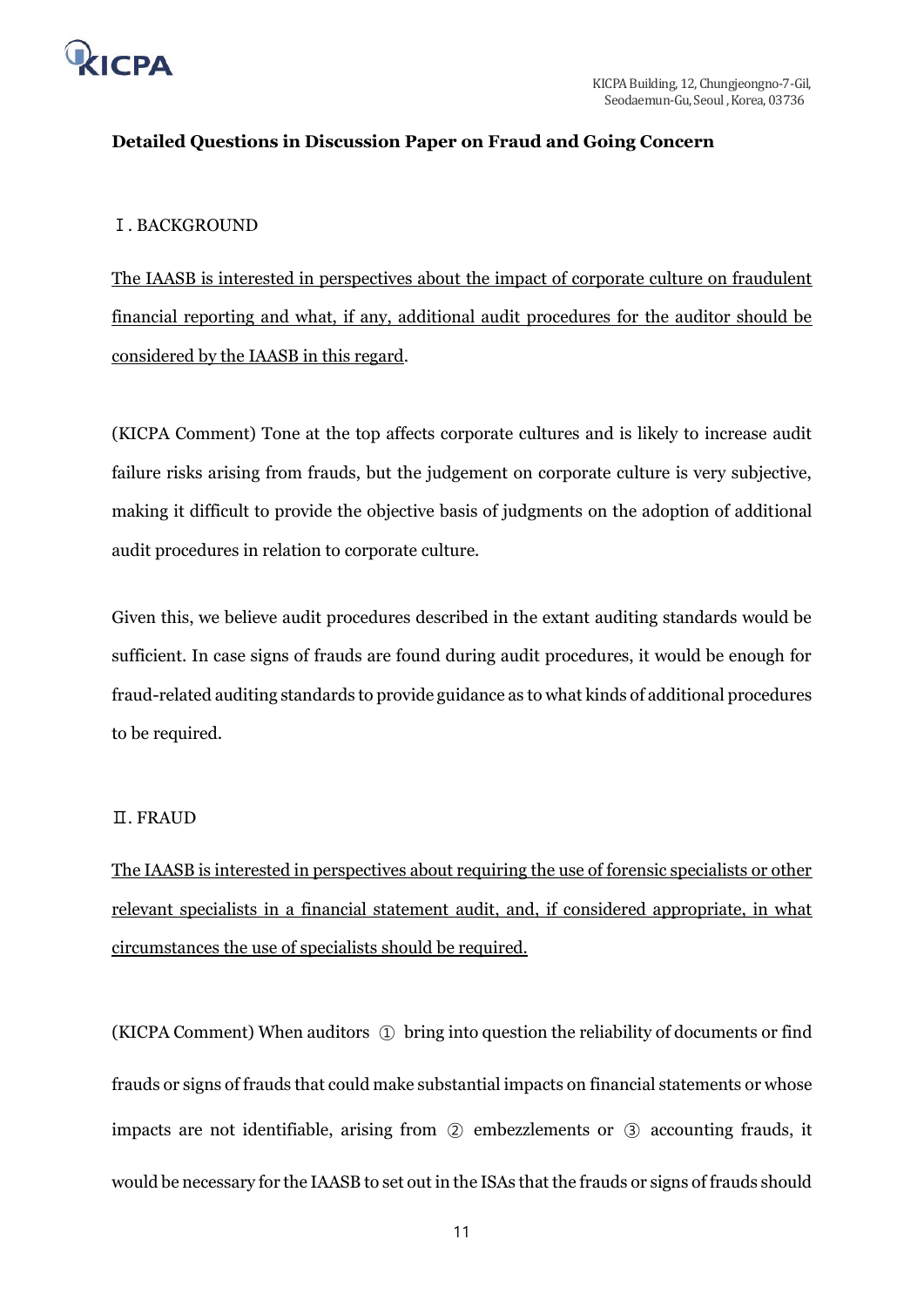

# **Detailed Questions in Discussion Paper on Fraud and Going Concern**

## Ⅰ. BACKGROUND

The IAASB is interested in perspectives about the impact of corporate culture on fraudulent financial reporting and what, if any, additional audit procedures for the auditor should be considered by the IAASB in this regard.

(KICPA Comment) Tone at the top affects corporate cultures and is likely to increase audit failure risks arising from frauds, but the judgement on corporate culture is very subjective, making it difficult to provide the objective basis of judgments on the adoption of additional audit procedures in relation to corporate culture.

Given this, we believe audit procedures described in the extant auditing standards would be sufficient. In case signs of frauds are found during audit procedures, it would be enough for fraud-related auditing standards to provide guidance as to what kinds of additional procedures to be required.

## Ⅱ. FRAUD

The IAASB is interested in perspectives about requiring the use of forensic specialists or other relevant specialists in a financial statement audit, and, if considered appropriate, in what circumstances the use of specialists should be required.

(KICPA Comment) When auditors ① bring into question the reliability of documents or find frauds or signs of frauds that could make substantial impacts on financial statements or whose impacts are not identifiable, arising from ② embezzlements or ③ accounting frauds, it would be necessary for the IAASB to set out in the ISAs that the frauds or signs of frauds should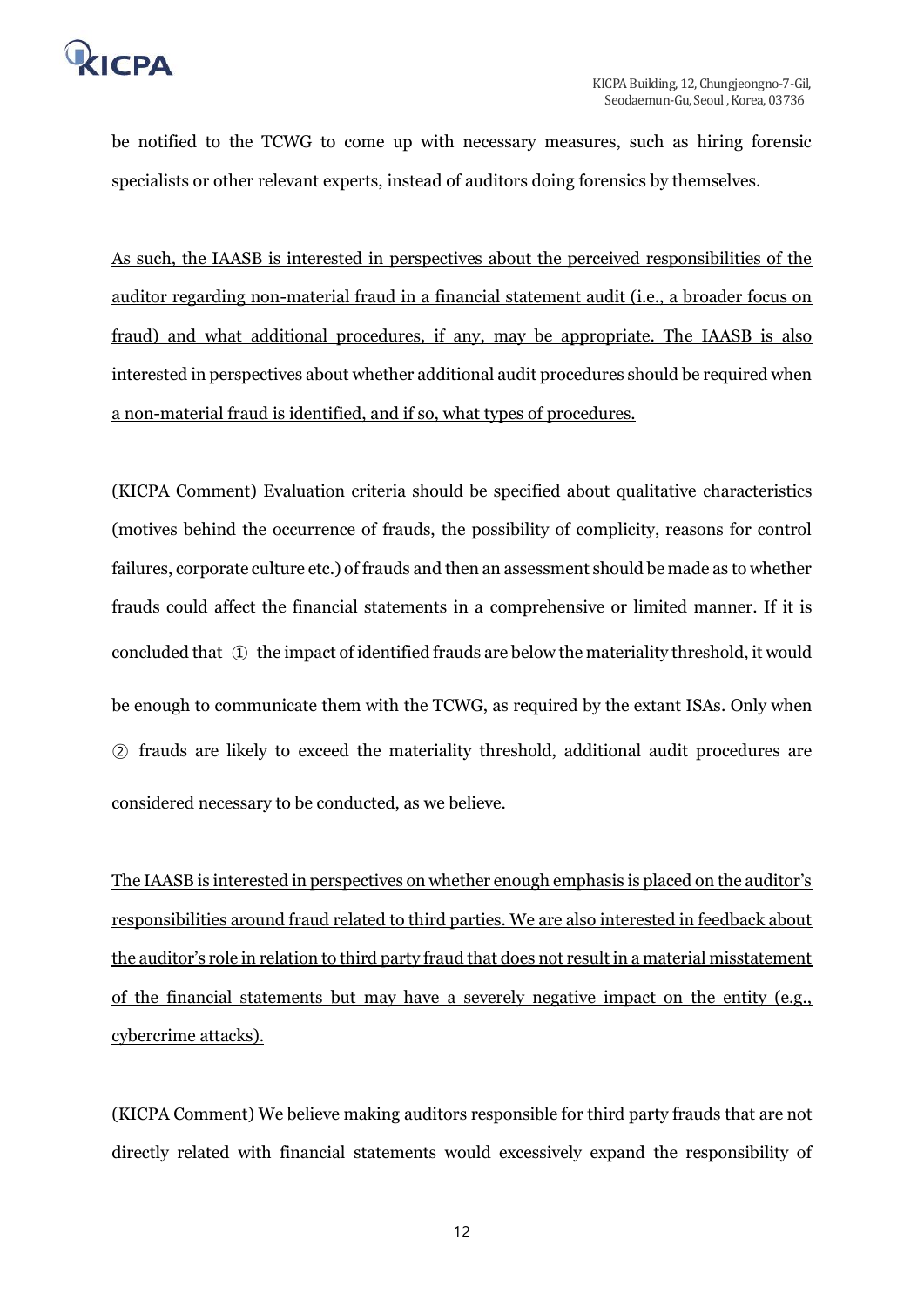

be notified to the TCWG to come up with necessary measures, such as hiring forensic specialists or other relevant experts, instead of auditors doing forensics by themselves.

As such, the IAASB is interested in perspectives about the perceived responsibilities of the auditor regarding non-material fraud in a financial statement audit (i.e., a broader focus on fraud) and what additional procedures, if any, may be appropriate. The IAASB is also interested in perspectives about whether additional audit procedures should be required when a non-material fraud is identified, and if so, what types of procedures.

(KICPA Comment) Evaluation criteria should be specified about qualitative characteristics (motives behind the occurrence of frauds, the possibility of complicity, reasons for control failures, corporate culture etc.) of frauds and then an assessment should be made as to whether frauds could affect the financial statements in a comprehensive or limited manner. If it is concluded that ① the impact of identified frauds are below the materiality threshold, it would be enough to communicate them with the TCWG, as required by the extant ISAs. Only when ② frauds are likely to exceed the materiality threshold, additional audit procedures are considered necessary to be conducted, as we believe.

The IAASB is interested in perspectives on whether enough emphasis is placed on the auditor's responsibilities around fraud related to third parties. We are also interested in feedback about the auditor's role in relation to third party fraud that does not result in a material misstatement of the financial statements but may have a severely negative impact on the entity (e.g., cybercrime attacks).

(KICPA Comment) We believe making auditors responsible for third party frauds that are not directly related with financial statements would excessively expand the responsibility of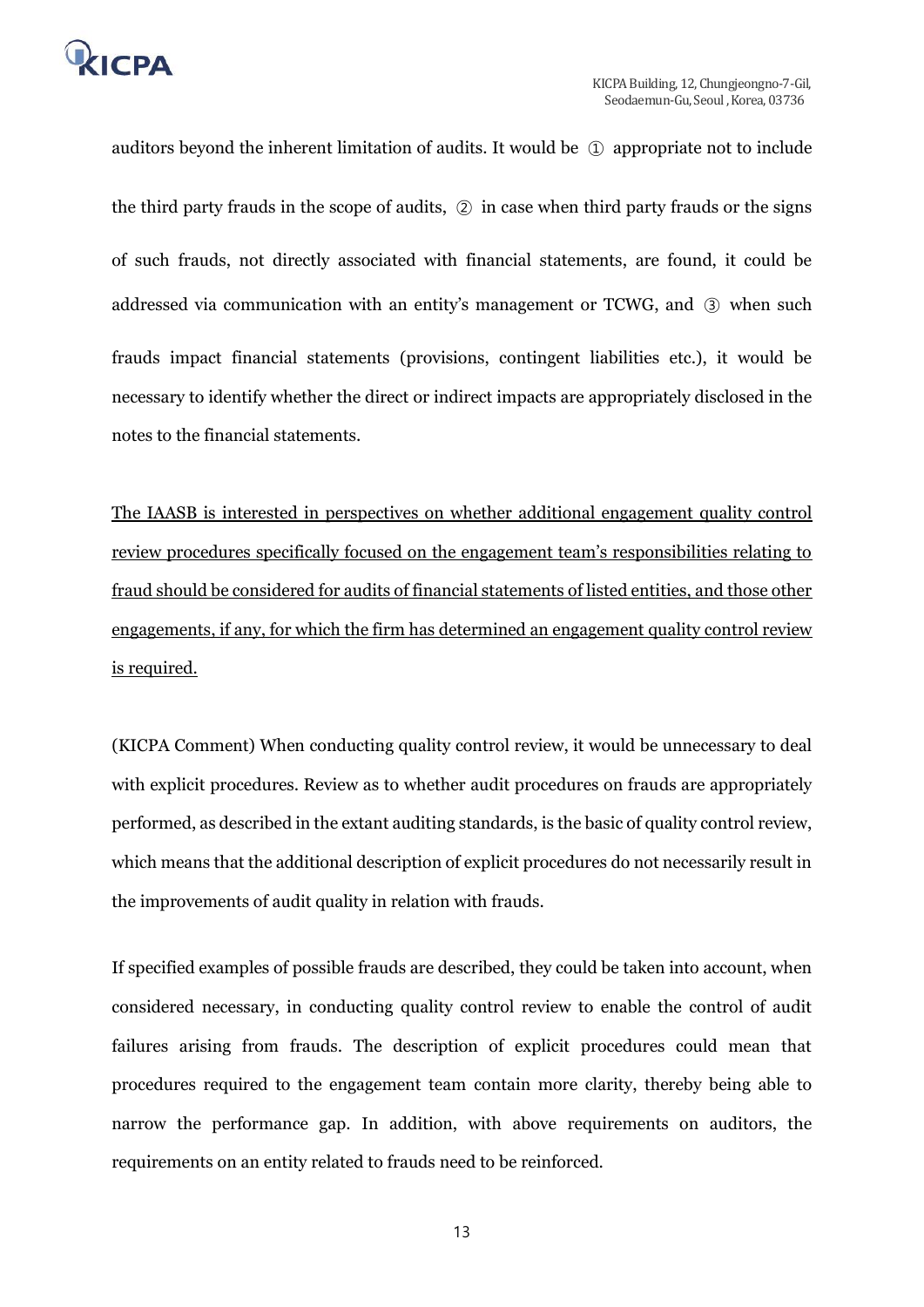

auditors beyond the inherent limitation of audits. It would be ① appropriate not to include the third party frauds in the scope of audits, ② in case when third party frauds or the signs of such frauds, not directly associated with financial statements, are found, it could be addressed via communication with an entity's management or TCWG, and ③ when such frauds impact financial statements (provisions, contingent liabilities etc.), it would be necessary to identify whether the direct or indirect impacts are appropriately disclosed in the notes to the financial statements.

The IAASB is interested in perspectives on whether additional engagement quality control review procedures specifically focused on the engagement team's responsibilities relating to fraud should be considered for audits of financial statements of listed entities, and those other engagements, if any, for which the firm has determined an engagement quality control review is required.

(KICPA Comment) When conducting quality control review, it would be unnecessary to deal with explicit procedures. Review as to whether audit procedures on frauds are appropriately performed, as described in the extant auditing standards, is the basic of quality control review, which means that the additional description of explicit procedures do not necessarily result in the improvements of audit quality in relation with frauds.

If specified examples of possible frauds are described, they could be taken into account, when considered necessary, in conducting quality control review to enable the control of audit failures arising from frauds. The description of explicit procedures could mean that procedures required to the engagement team contain more clarity, thereby being able to narrow the performance gap. In addition, with above requirements on auditors, the requirements on an entity related to frauds need to be reinforced.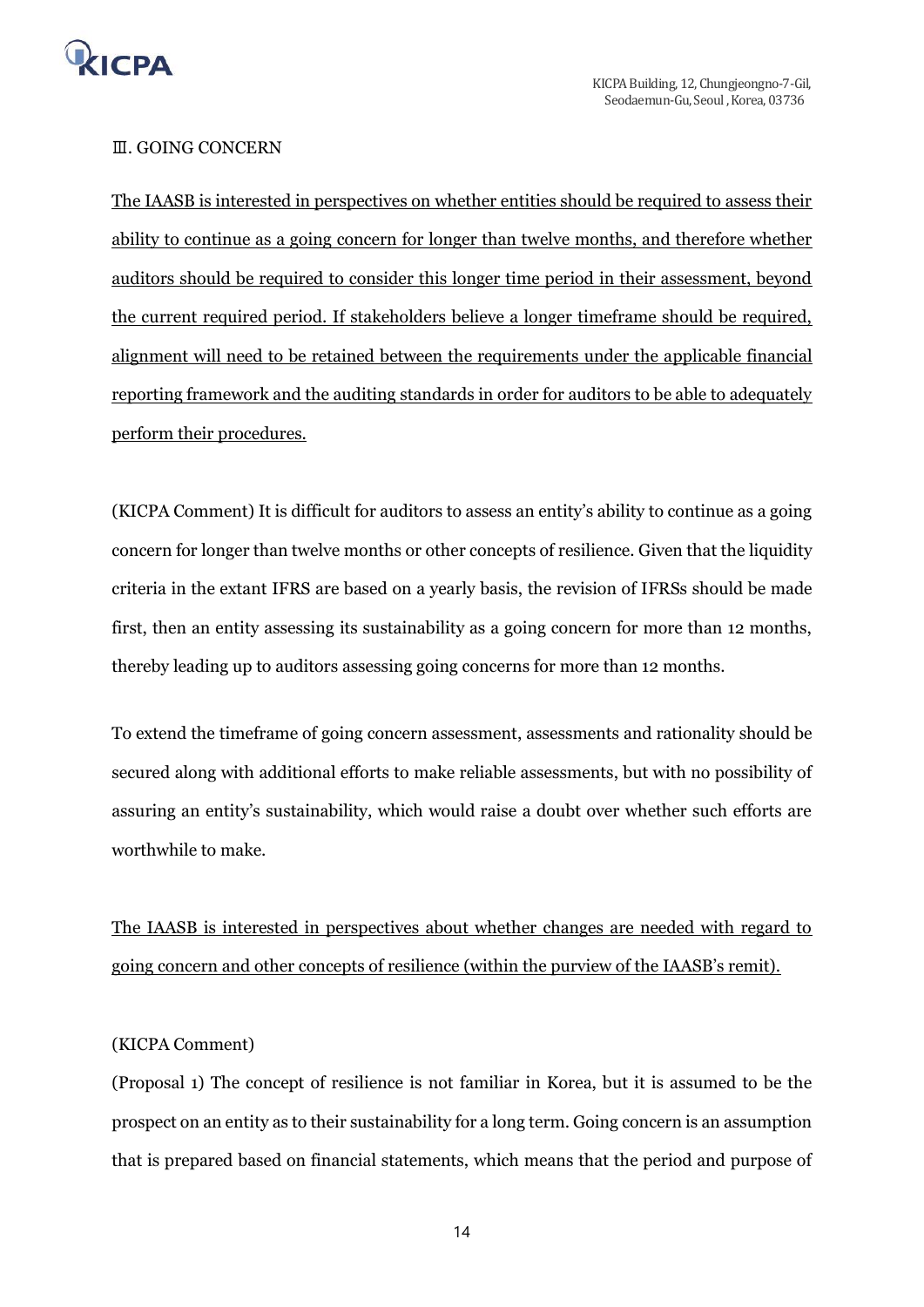

#### Ⅲ. GOING CONCERN

The IAASB is interested in perspectives on whether entities should be required to assess their ability to continue as a going concern for longer than twelve months, and therefore whether auditors should be required to consider this longer time period in their assessment, beyond the current required period. If stakeholders believe a longer timeframe should be required, alignment will need to be retained between the requirements under the applicable financial reporting framework and the auditing standards in order for auditors to be able to adequately perform their procedures.

(KICPA Comment) It is difficult for auditors to assess an entity's ability to continue as a going concern for longer than twelve months or other concepts of resilience. Given that the liquidity criteria in the extant IFRS are based on a yearly basis, the revision of IFRSs should be made first, then an entity assessing its sustainability as a going concern for more than 12 months, thereby leading up to auditors assessing going concerns for more than 12 months.

To extend the timeframe of going concern assessment, assessments and rationality should be secured along with additional efforts to make reliable assessments, but with no possibility of assuring an entity's sustainability, which would raise a doubt over whether such efforts are worthwhile to make.

The IAASB is interested in perspectives about whether changes are needed with regard to going concern and other concepts of resilience (within the purview of the IAASB's remit).

#### (KICPA Comment)

(Proposal 1) The concept of resilience is not familiar in Korea, but it is assumed to be the prospect on an entity as to their sustainability for a long term. Going concern is an assumption that is prepared based on financial statements, which means that the period and purpose of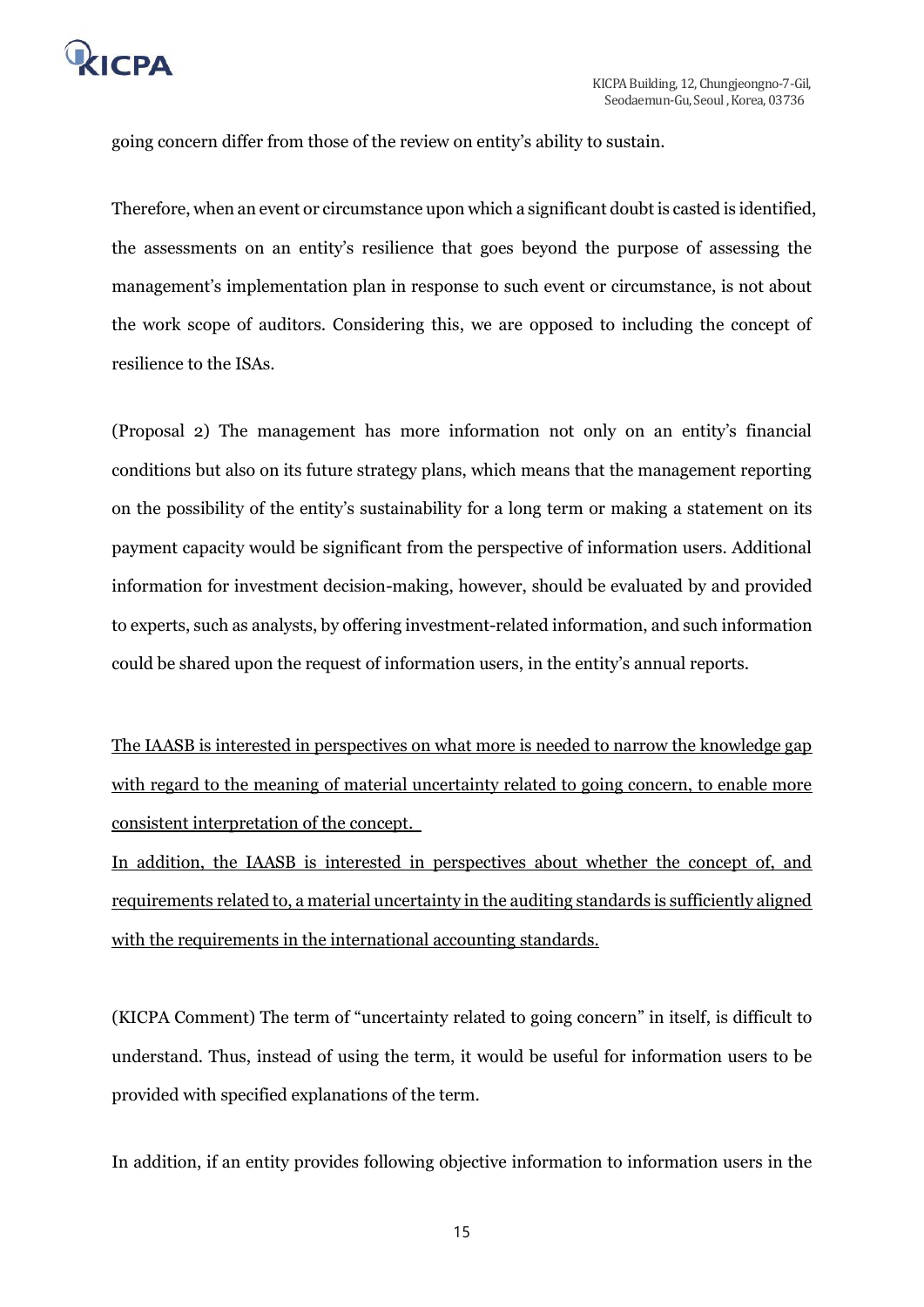

going concern differ from those of the review on entity's ability to sustain.

Therefore, when an event or circumstance upon which a significant doubt is casted is identified, the assessments on an entity's resilience that goes beyond the purpose of assessing the management's implementation plan in response to such event or circumstance, is not about the work scope of auditors. Considering this, we are opposed to including the concept of resilience to the ISAs.

(Proposal 2) The management has more information not only on an entity's financial conditions but also on its future strategy plans, which means that the management reporting on the possibility of the entity's sustainability for a long term or making a statement on its payment capacity would be significant from the perspective of information users. Additional information for investment decision-making, however, should be evaluated by and provided to experts, such as analysts, by offering investment-related information, and such information could be shared upon the request of information users, in the entity's annual reports.

The IAASB is interested in perspectives on what more is needed to narrow the knowledge gap with regard to the meaning of material uncertainty related to going concern, to enable more consistent interpretation of the concept.

In addition, the IAASB is interested in perspectives about whether the concept of, and requirements related to, a material uncertainty in the auditing standards is sufficiently aligned with the requirements in the international accounting standards.

(KICPA Comment) The term of "uncertainty related to going concern" in itself, is difficult to understand. Thus, instead of using the term, it would be useful for information users to be provided with specified explanations of the term.

In addition, if an entity provides following objective information to information users in the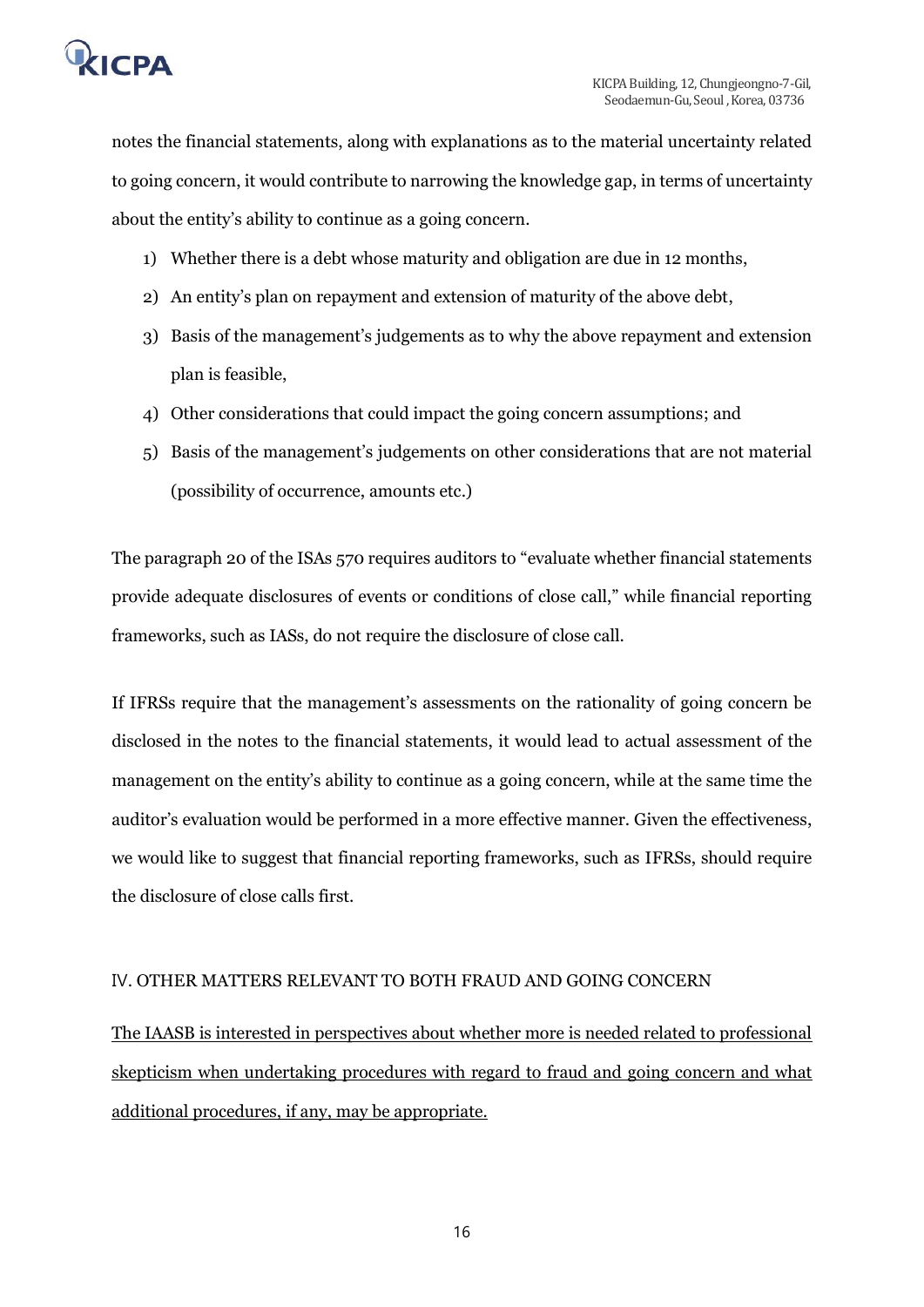

notes the financial statements, along with explanations as to the material uncertainty related to going concern, it would contribute to narrowing the knowledge gap, in terms of uncertainty about the entity's ability to continue as a going concern.

- 1) Whether there is a debt whose maturity and obligation are due in 12 months,
- 2) An entity's plan on repayment and extension of maturity of the above debt,
- 3) Basis of the management's judgements as to why the above repayment and extension plan is feasible,
- 4) Other considerations that could impact the going concern assumptions; and
- 5) Basis of the management's judgements on other considerations that are not material (possibility of occurrence, amounts etc.)

The paragraph 20 of the ISAs 570 requires auditors to "evaluate whether financial statements provide adequate disclosures of events or conditions of close call," while financial reporting frameworks, such as IASs, do not require the disclosure of close call.

If IFRSs require that the management's assessments on the rationality of going concern be disclosed in the notes to the financial statements, it would lead to actual assessment of the management on the entity's ability to continue as a going concern, while at the same time the auditor's evaluation would be performed in a more effective manner. Given the effectiveness, we would like to suggest that financial reporting frameworks, such as IFRSs, should require the disclosure of close calls first.

## Ⅳ. OTHER MATTERS RELEVANT TO BOTH FRAUD AND GOING CONCERN

The IAASB is interested in perspectives about whether more is needed related to professional skepticism when undertaking procedures with regard to fraud and going concern and what additional procedures, if any, may be appropriate.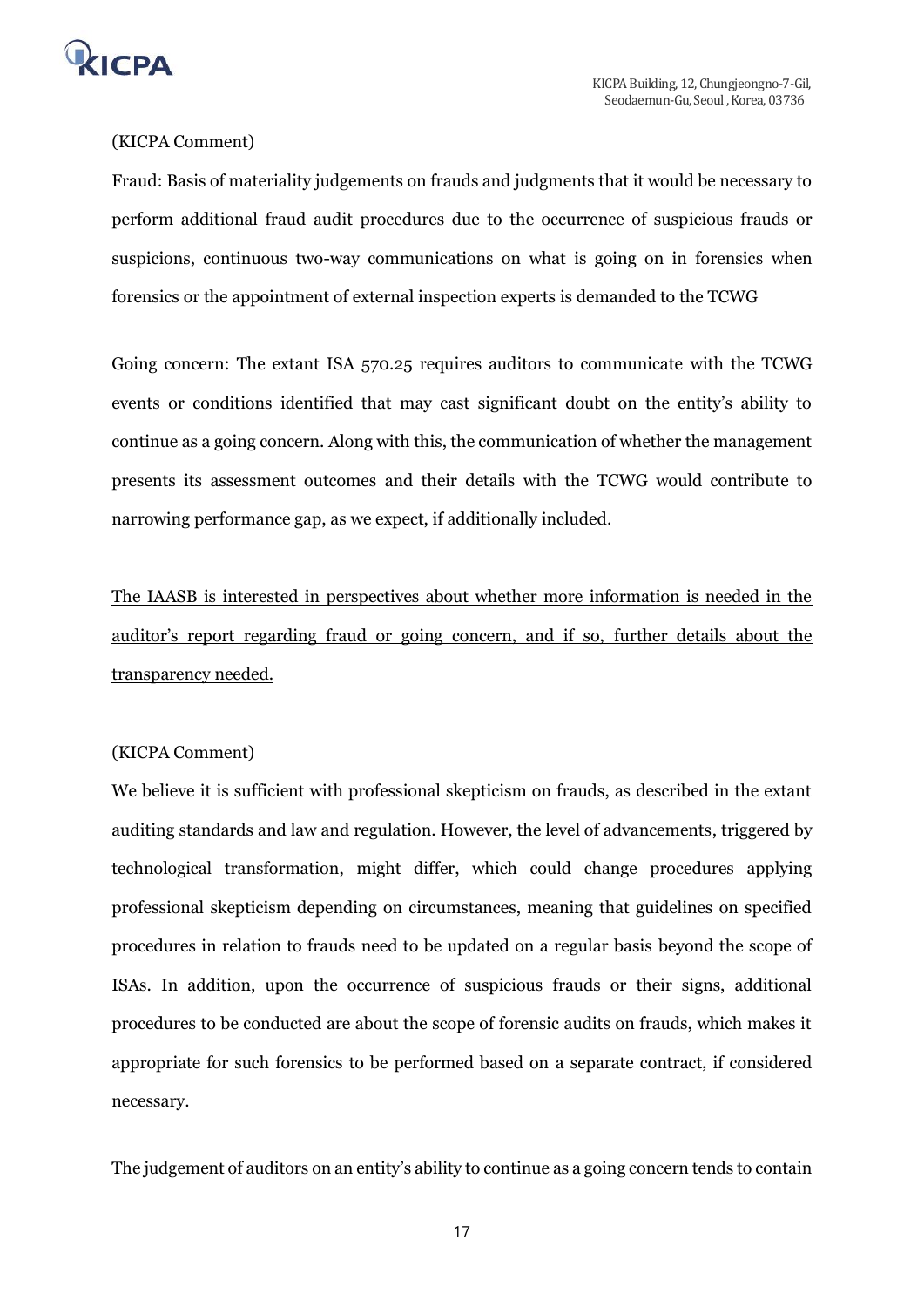

# (KICPA Comment)

Fraud: Basis of materiality judgements on frauds and judgments that it would be necessary to perform additional fraud audit procedures due to the occurrence of suspicious frauds or suspicions, continuous two-way communications on what is going on in forensics when forensics or the appointment of external inspection experts is demanded to the TCWG

Going concern: The extant ISA 570.25 requires auditors to communicate with the TCWG events or conditions identified that may cast significant doubt on the entity's ability to continue as a going concern. Along with this, the communication of whether the management presents its assessment outcomes and their details with the TCWG would contribute to narrowing performance gap, as we expect, if additionally included.

The IAASB is interested in perspectives about whether more information is needed in the auditor's report regarding fraud or going concern, and if so, further details about the transparency needed.

#### (KICPA Comment)

We believe it is sufficient with professional skepticism on frauds, as described in the extant auditing standards and law and regulation. However, the level of advancements, triggered by technological transformation, might differ, which could change procedures applying professional skepticism depending on circumstances, meaning that guidelines on specified procedures in relation to frauds need to be updated on a regular basis beyond the scope of ISAs. In addition, upon the occurrence of suspicious frauds or their signs, additional procedures to be conducted are about the scope of forensic audits on frauds, which makes it appropriate for such forensics to be performed based on a separate contract, if considered necessary.

The judgement of auditors on an entity's ability to continue as a going concern tends to contain